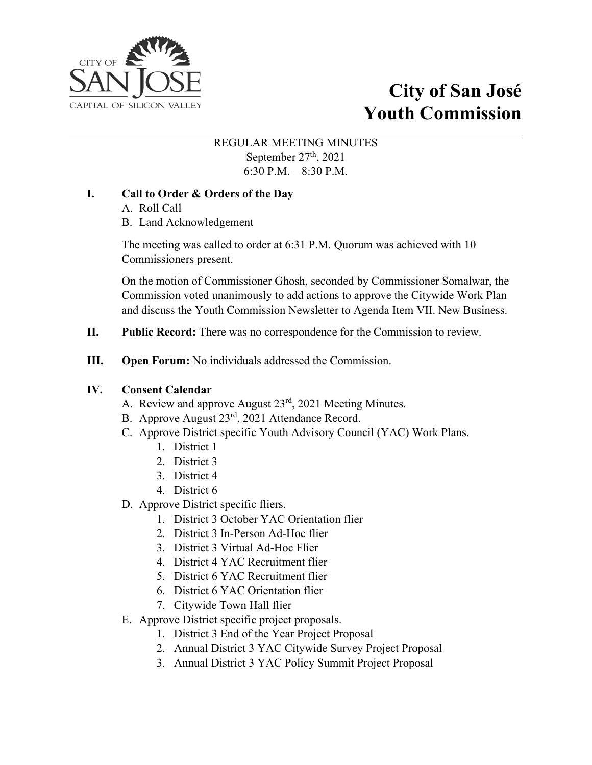

# **City of San José Youth Commission**

#### REGULAR MEETING MINUTES September 27<sup>th</sup>, 2021 6:30 P.M. – 8:30 P.M.

# **I. Call to Order & Orders of the Day**

A. Roll Call

B. Land Acknowledgement

The meeting was called to order at 6:31 P.M. Quorum was achieved with 10 Commissioners present.

On the motion of Commissioner Ghosh, seconded by Commissioner Somalwar, the Commission voted unanimously to add actions to approve the Citywide Work Plan and discuss the Youth Commission Newsletter to Agenda Item VII. New Business.

- **II. Public Record:** There was no correspondence for the Commission to review.
- **III. Open Forum:** No individuals addressed the Commission.

## **IV. Consent Calendar**

- A. Review and approve August 23rd, 2021 Meeting Minutes.
- B. Approve August 23rd, 2021 Attendance Record.
- C. Approve District specific Youth Advisory Council (YAC) Work Plans.
	- 1. District 1
	- 2. District 3
	- 3. District 4
	- 4. District 6
- D. Approve District specific fliers.
	- 1. District 3 October YAC Orientation flier
	- 2. District 3 In-Person Ad-Hoc flier
	- 3. District 3 Virtual Ad-Hoc Flier
	- 4. District 4 YAC Recruitment flier
	- 5. District 6 YAC Recruitment flier
	- 6. District 6 YAC Orientation flier
	- 7. Citywide Town Hall flier
- E. Approve District specific project proposals.
	- 1. District 3 End of the Year Project Proposal
	- 2. Annual District 3 YAC Citywide Survey Project Proposal
	- 3. Annual District 3 YAC Policy Summit Project Proposal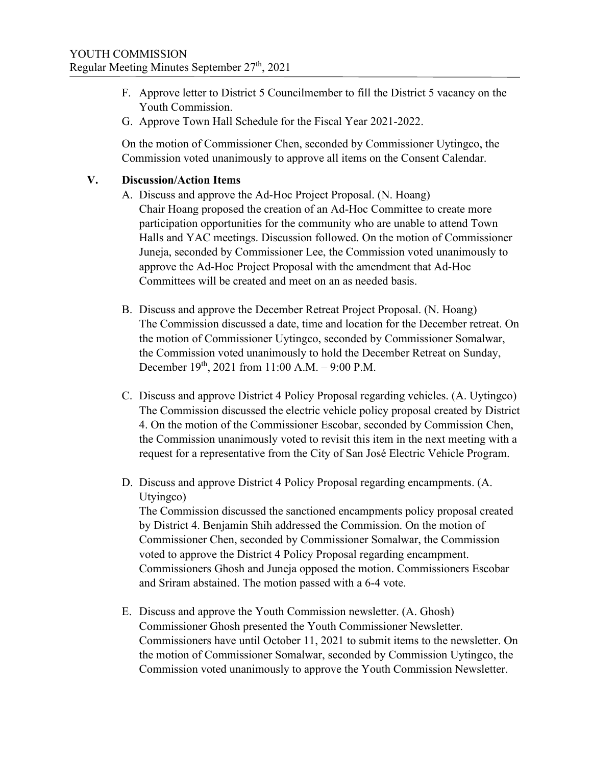- F. Approve letter to District 5 Councilmember to fill the District 5 vacancy on the Youth Commission.
- G. Approve Town Hall Schedule for the Fiscal Year 2021-2022.

On the motion of Commissioner Chen, seconded by Commissioner Uytingco, the Commission voted unanimously to approve all items on the Consent Calendar.

#### **V. Discussion/Action Items**

- A. Discuss and approve the Ad-Hoc Project Proposal. (N. Hoang) Chair Hoang proposed the creation of an Ad-Hoc Committee to create more participation opportunities for the community who are unable to attend Town Halls and YAC meetings. Discussion followed. On the motion of Commissioner Juneja, seconded by Commissioner Lee, the Commission voted unanimously to approve the Ad-Hoc Project Proposal with the amendment that Ad-Hoc Committees will be created and meet on an as needed basis.
- B. Discuss and approve the December Retreat Project Proposal. (N. Hoang) The Commission discussed a date, time and location for the December retreat. On the motion of Commissioner Uytingco, seconded by Commissioner Somalwar, the Commission voted unanimously to hold the December Retreat on Sunday, December 19th, 2021 from 11:00 A.M. – 9:00 P.M.
- C. Discuss and approve District 4 Policy Proposal regarding vehicles. (A. Uytingco) The Commission discussed the electric vehicle policy proposal created by District 4. On the motion of the Commissioner Escobar, seconded by Commission Chen, the Commission unanimously voted to revisit this item in the next meeting with a request for a representative from the City of San José Electric Vehicle Program.
- D. Discuss and approve District 4 Policy Proposal regarding encampments. (A. Utyingco)

The Commission discussed the sanctioned encampments policy proposal created by District 4. Benjamin Shih addressed the Commission. On the motion of Commissioner Chen, seconded by Commissioner Somalwar, the Commission voted to approve the District 4 Policy Proposal regarding encampment. Commissioners Ghosh and Juneja opposed the motion. Commissioners Escobar and Sriram abstained. The motion passed with a 6-4 vote.

E. Discuss and approve the Youth Commission newsletter. (A. Ghosh) Commissioner Ghosh presented the Youth Commissioner Newsletter. Commissioners have until October 11, 2021 to submit items to the newsletter. On the motion of Commissioner Somalwar, seconded by Commission Uytingco, the Commission voted unanimously to approve the Youth Commission Newsletter.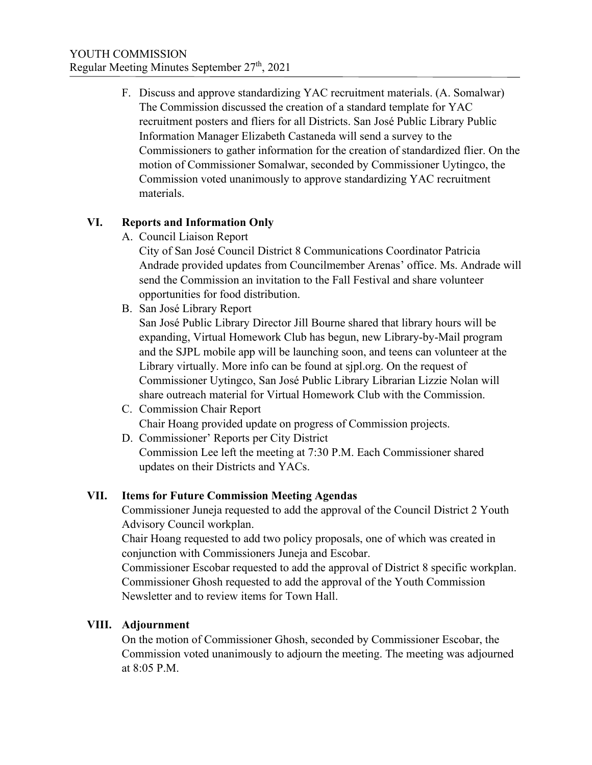F. Discuss and approve standardizing YAC recruitment materials. (A. Somalwar) The Commission discussed the creation of a standard template for YAC recruitment posters and fliers for all Districts. San José Public Library Public Information Manager Elizabeth Castaneda will send a survey to the Commissioners to gather information for the creation of standardized flier. On the motion of Commissioner Somalwar, seconded by Commissioner Uytingco, the Commission voted unanimously to approve standardizing YAC recruitment materials.

# **VI. Reports and Information Only**

A. Council Liaison Report

City of San José Council District 8 Communications Coordinator Patricia Andrade provided updates from Councilmember Arenas' office. Ms. Andrade will send the Commission an invitation to the Fall Festival and share volunteer opportunities for food distribution.

B. San José Library Report

San José Public Library Director Jill Bourne shared that library hours will be expanding, Virtual Homework Club has begun, new Library-by-Mail program and the SJPL mobile app will be launching soon, and teens can volunteer at the Library virtually. More info can be found at sjpl.org. On the request of Commissioner Uytingco, San José Public Library Librarian Lizzie Nolan will share outreach material for Virtual Homework Club with the Commission.

- C. Commission Chair Report Chair Hoang provided update on progress of Commission projects.
- D. Commissioner' Reports per City District Commission Lee left the meeting at 7:30 P.M. Each Commissioner shared updates on their Districts and YACs.

## **VII. Items for Future Commission Meeting Agendas**

Commissioner Juneja requested to add the approval of the Council District 2 Youth Advisory Council workplan.

Chair Hoang requested to add two policy proposals, one of which was created in conjunction with Commissioners Juneja and Escobar.

Commissioner Escobar requested to add the approval of District 8 specific workplan. Commissioner Ghosh requested to add the approval of the Youth Commission Newsletter and to review items for Town Hall.

## **VIII. Adjournment**

On the motion of Commissioner Ghosh, seconded by Commissioner Escobar, the Commission voted unanimously to adjourn the meeting. The meeting was adjourned at 8:05 P.M.